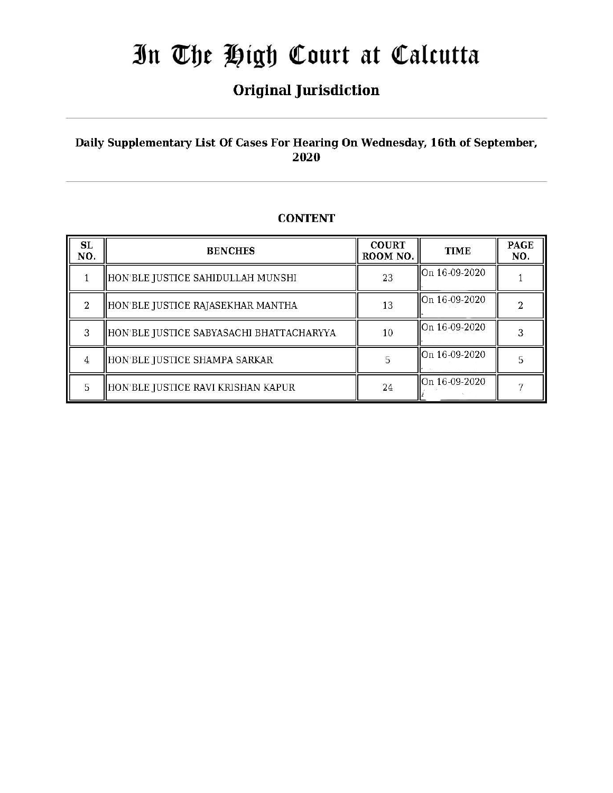# **Original Jurisdiction**

# Daily Supplementary List Of Cases For Hearing On Wednesday, 16th of September, 2020

| <b>SL</b><br>NO. | <b>BENCHES</b>                           | <b>COURT</b><br>ROOM NO. | <b>TIME</b>   | <b>PAGE</b><br>NO. |
|------------------|------------------------------------------|--------------------------|---------------|--------------------|
|                  | HON'BLE JUSTICE SAHIDULLAH MUNSHI        | 23                       | On 16-09-2020 |                    |
| $\mathfrak{D}$   | HON'BLE JUSTICE RAJASEKHAR MANTHA        | 13                       | On 16-09-2020 |                    |
| 3                | HON'BLE JUSTICE SABYASACHI BHATTACHARYYA | 10                       | On 16-09-2020 |                    |
| $\overline{4}$   | HON'BLE JUSTICE SHAMPA SARKAR            | 5                        | On 16-09-2020 |                    |
| 5                | HON'BLE JUSTICE RAVI KRISHAN KAPUR       | 24                       | On 16-09-2020 |                    |

# **CONTENT**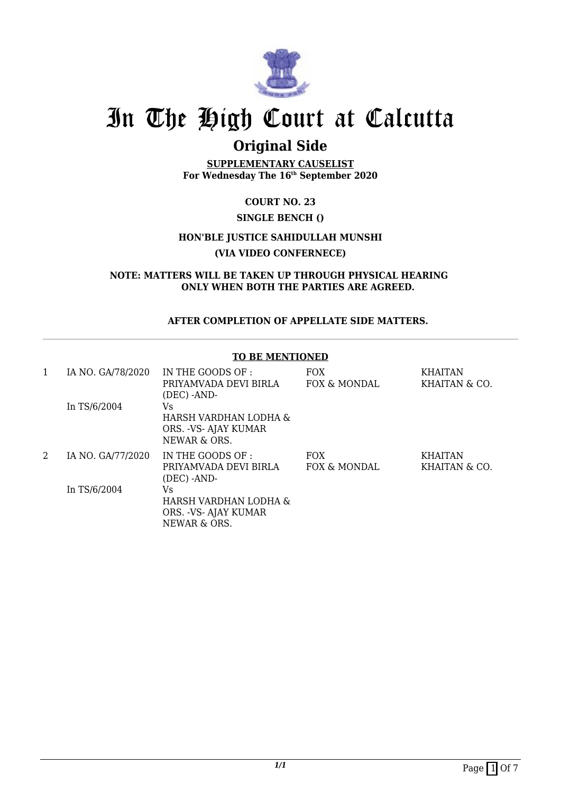

# **Original Side**

**SUPPLEMENTARY CAUSELIST For Wednesday The 16th September 2020**

**COURT NO. 23**

## **SINGLE BENCH ()**

# **HON'BLE JUSTICE SAHIDULLAH MUNSHI (VIA VIDEO CONFERNECE)**

**NOTE: MATTERS WILL BE TAKEN UP THROUGH PHYSICAL HEARING ONLY WHEN BOTH THE PARTIES ARE AGREED.**

## **AFTER COMPLETION OF APPELLATE SIDE MATTERS.**

#### **TO BE MENTIONED**

| 1 | IA NO. GA/78/2020 | IN THE GOODS OF :<br>PRIYAMVADA DEVI BIRLA<br>(DEC) -AND-            | <b>FOX</b><br>FOX & MONDAL | <b>KHAITAN</b><br>KHAITAN & CO. |
|---|-------------------|----------------------------------------------------------------------|----------------------------|---------------------------------|
|   | In TS/6/2004      | Vs<br>HARSH VARDHAN LODHA &<br>ORS. - VS- AJAY KUMAR<br>NEWAR & ORS. |                            |                                 |
| 2 | IA NO. GA/77/2020 | IN THE GOODS OF :<br>PRIYAMVADA DEVI BIRLA<br>(DEC) -AND-            | <b>FOX</b><br>FOX & MONDAL | <b>KHAITAN</b><br>KHAITAN & CO. |
|   | In TS/6/2004      | Vs<br>HARSH VARDHAN LODHA &<br>ORS. - VS- AJAY KUMAR<br>NEWAR & ORS. |                            |                                 |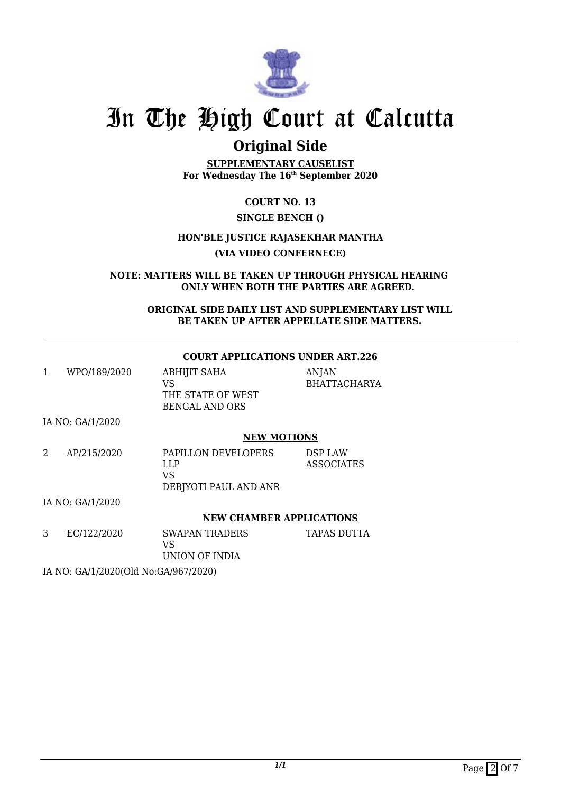

# **Original Side**

**SUPPLEMENTARY CAUSELIST For Wednesday The 16th September 2020**

**COURT NO. 13**

# **SINGLE BENCH ()**

# **HON'BLE JUSTICE RAJASEKHAR MANTHA**

**(VIA VIDEO CONFERNECE)**

**NOTE: MATTERS WILL BE TAKEN UP THROUGH PHYSICAL HEARING ONLY WHEN BOTH THE PARTIES ARE AGREED.**

> **ORIGINAL SIDE DAILY LIST AND SUPPLEMENTARY LIST WILL BE TAKEN UP AFTER APPELLATE SIDE MATTERS.**

## **COURT APPLICATIONS UNDER ART.226**

| WPO/189/2020     | <b>ABHIJIT SAHA</b><br>VS<br>THE STATE OF WEST<br><b>BENGAL AND ORS</b> | <b>ANJAN</b><br><b>BHATTACHARYA</b> |
|------------------|-------------------------------------------------------------------------|-------------------------------------|
| IA NO: GA/1/2020 | <b>NEW MOTIONS</b>                                                      |                                     |
| AP/215/2020      | PAPILLON DEVELOPERS<br>LLP<br>VS<br>DEBJYOTI PAUL AND ANR               | DSP LAW<br><b>ASSOCIATES</b>        |

IA NO: GA/1/2020

# **NEW CHAMBER APPLICATIONS**

| EC/122/2020 | SWAPAN TRADERS | TAPAS DUTTA |
|-------------|----------------|-------------|
|             | VS.            |             |
|             | UNION OF INDIA |             |

IA NO: GA/1/2020(Old No:GA/967/2020)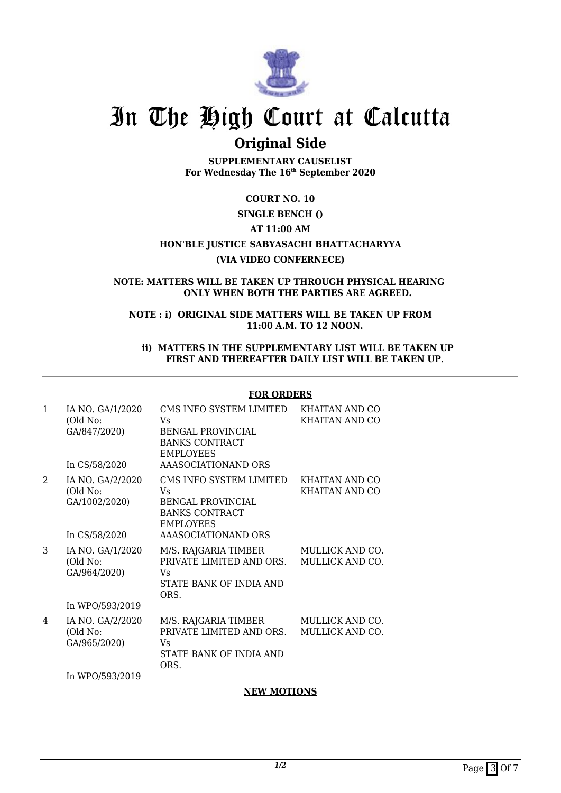

# **Original Side**

**SUPPLEMENTARY CAUSELIST For Wednesday The 16th September 2020**

## **COURT NO. 10**

# **SINGLE BENCH ()**

# **AT 11:00 AM**

# **HON'BLE JUSTICE SABYASACHI BHATTACHARYYA**

#### **(VIA VIDEO CONFERNECE)**

#### **NOTE: MATTERS WILL BE TAKEN UP THROUGH PHYSICAL HEARING ONLY WHEN BOTH THE PARTIES ARE AGREED.**

#### **NOTE : i) ORIGINAL SIDE MATTERS WILL BE TAKEN UP FROM 11:00 A.M. TO 12 NOON.**

#### **ii) MATTERS IN THE SUPPLEMENTARY LIST WILL BE TAKEN UP FIRST AND THEREAFTER DAILY LIST WILL BE TAKEN UP.**

#### **FOR ORDERS**

| $\mathbf{1}$   | IA NO. GA/1/2020<br>(Old No:<br>GA/847/2020)<br>In CS/58/2020   | CMS INFO SYSTEM LIMITED<br>Vs<br><b>BENGAL PROVINCIAL</b><br><b>BANKS CONTRACT</b><br><b>EMPLOYEES</b><br>AAASOCIATIONAND ORS | KHAITAN AND CO<br>KHAITAN AND CO          |
|----------------|-----------------------------------------------------------------|-------------------------------------------------------------------------------------------------------------------------------|-------------------------------------------|
| $\overline{2}$ | IA NO. GA/2/2020<br>(Old No:<br>GA/1002/2020)<br>In CS/58/2020  | CMS INFO SYSTEM LIMITED<br>Vs<br><b>BENGAL PROVINCIAL</b><br><b>BANKS CONTRACT</b><br>EMPLOYEES<br>AAASOCIATIONAND ORS        | KHAITAN AND CO<br>KHAITAN AND CO          |
| 3              | IA NO. GA/1/2020<br>(Old No:<br>GA/964/2020)<br>In WPO/593/2019 | M/S. RAJGARIA TIMBER<br>PRIVATE LIMITED AND ORS.<br>Vs<br>STATE BANK OF INDIA AND<br>ORS.                                     | MULLICK AND CO.<br><b>MULLICK AND CO.</b> |
| 4              | IA NO. GA/2/2020<br>(Old No:<br>GA/965/2020)<br>In WPO/593/2019 | M/S. RAJGARIA TIMBER<br>PRIVATE LIMITED AND ORS.<br>Vs<br>STATE BANK OF INDIA AND<br>ORS.                                     | MULLICK AND CO.<br>MULLICK AND CO.        |

## **NEW MOTIONS**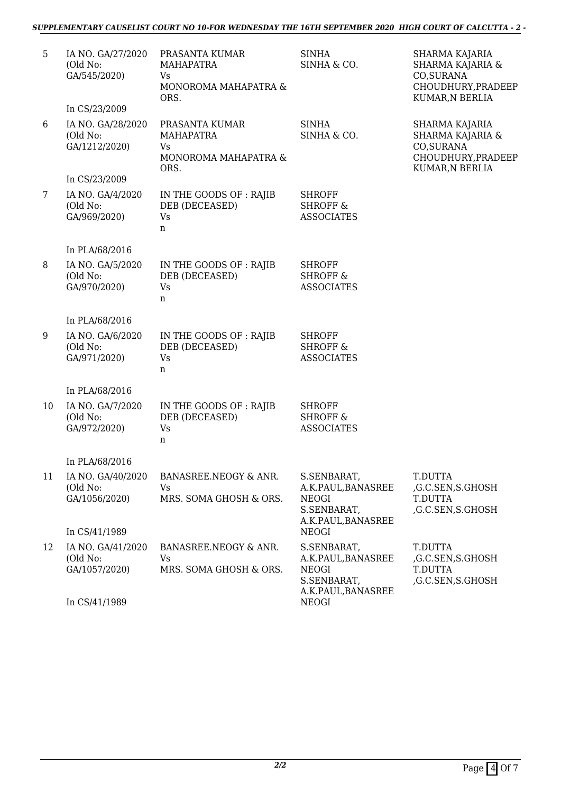# *SUPPLEMENTARY CAUSELIST COURT NO 10-FOR WEDNESDAY THE 16TH SEPTEMBER 2020 HIGH COURT OF CALCUTTA - 2 -*

| 5  | IA NO. GA/27/2020<br>(Old No:<br>GA/545/2020)  | PRASANTA KUMAR<br>MAHAPATRA<br>Vs<br>MONOROMA MAHAPATRA &<br>ORS.        | <b>SINHA</b><br>SINHA & CO.                                                            | SHARMA KAJARIA<br>SHARMA KAJARIA &<br>CO, SURANA<br>CHOUDHURY, PRADEEP<br>KUMAR, N BERLIA |
|----|------------------------------------------------|--------------------------------------------------------------------------|----------------------------------------------------------------------------------------|-------------------------------------------------------------------------------------------|
|    | In CS/23/2009                                  |                                                                          |                                                                                        |                                                                                           |
| 6  | IA NO. GA/28/2020<br>(Old No:<br>GA/1212/2020) | PRASANTA KUMAR<br><b>MAHAPATRA</b><br>Vs<br>MONOROMA MAHAPATRA &<br>ORS. | <b>SINHA</b><br>SINHA & CO.                                                            | SHARMA KAJARIA<br>SHARMA KAJARIA &<br>CO, SURANA<br>CHOUDHURY, PRADEEP<br>KUMAR, N BERLIA |
|    | In CS/23/2009                                  |                                                                          |                                                                                        |                                                                                           |
| 7  | IA NO. GA/4/2020<br>(Old No:<br>GA/969/2020)   | IN THE GOODS OF : RAJIB<br>DEB (DECEASED)<br>Vs<br>n                     | <b>SHROFF</b><br><b>SHROFF &amp;</b><br><b>ASSOCIATES</b>                              |                                                                                           |
|    | In PLA/68/2016                                 |                                                                          |                                                                                        |                                                                                           |
| 8  | IA NO. GA/5/2020<br>(Old No:<br>GA/970/2020)   | IN THE GOODS OF : RAJIB<br>DEB (DECEASED)<br>Vs<br>n                     | <b>SHROFF</b><br><b>SHROFF &amp;</b><br><b>ASSOCIATES</b>                              |                                                                                           |
|    | In PLA/68/2016                                 |                                                                          |                                                                                        |                                                                                           |
| 9  | IA NO. GA/6/2020<br>(Old No:<br>GA/971/2020)   | IN THE GOODS OF : RAJIB<br>DEB (DECEASED)<br>Vs<br>n                     | <b>SHROFF</b><br><b>SHROFF &amp;</b><br><b>ASSOCIATES</b>                              |                                                                                           |
|    | In PLA/68/2016                                 |                                                                          |                                                                                        |                                                                                           |
| 10 | IA NO. GA/7/2020<br>(Old No:<br>GA/972/2020)   | IN THE GOODS OF : RAJIB<br>DEB (DECEASED)<br>Vs<br>n                     | <b>SHROFF</b><br><b>SHROFF &amp;</b><br><b>ASSOCIATES</b>                              |                                                                                           |
|    | In PLA/68/2016                                 |                                                                          |                                                                                        |                                                                                           |
| 11 | IA NO. GA/40/2020<br>(Old No:<br>GA/1056/2020) | BANASREE.NEOGY & ANR.<br>Vs<br>MRS. SOMA GHOSH & ORS.                    | S.SENBARAT,<br>A.K.PAUL, BANASREE<br>NEOGI<br>S.SENBARAT,<br>A.K.PAUL, BANASREE        | T.DUTTA<br>,G.C.SEN,S.GHOSH<br>T.DUTTA<br>,G.C.SEN,S.GHOSH                                |
|    | In CS/41/1989                                  |                                                                          | NEOGI                                                                                  |                                                                                           |
| 12 | IA NO. GA/41/2020<br>(Old No:<br>GA/1057/2020) | BANASREE.NEOGY & ANR.<br>Vs<br>MRS. SOMA GHOSH & ORS.                    | S.SENBARAT,<br>A.K.PAUL, BANASREE<br><b>NEOGI</b><br>S.SENBARAT,<br>A.K.PAUL, BANASREE | T.DUTTA<br>,G.C.SEN,S.GHOSH<br>T.DUTTA<br>,G.C.SEN,S.GHOSH                                |
|    | In CS/41/1989                                  |                                                                          | NEOGI                                                                                  |                                                                                           |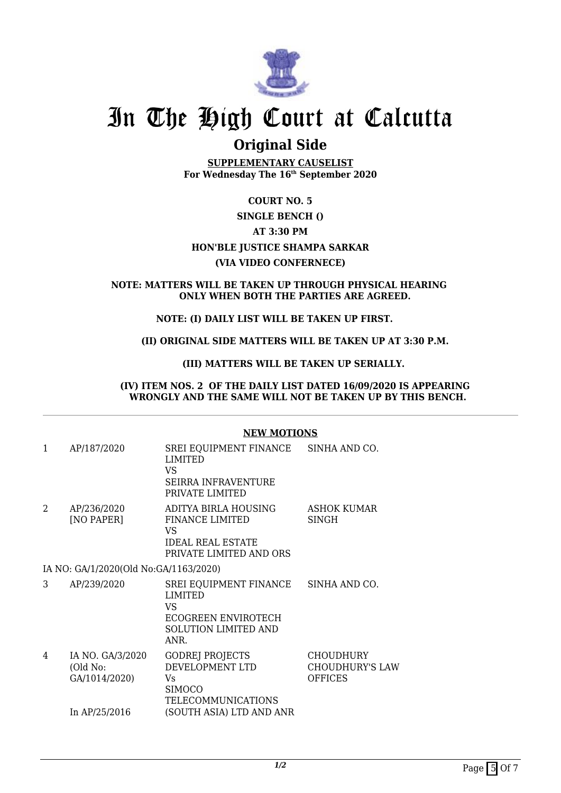

# **Original Side**

**SUPPLEMENTARY CAUSELIST For Wednesday The 16th September 2020**

## **COURT NO. 5**

# **SINGLE BENCH ()**

# **AT 3:30 PM**

## **HON'BLE JUSTICE SHAMPA SARKAR**

## **(VIA VIDEO CONFERNECE)**

#### **NOTE: MATTERS WILL BE TAKEN UP THROUGH PHYSICAL HEARING ONLY WHEN BOTH THE PARTIES ARE AGREED.**

## **NOTE: (I) DAILY LIST WILL BE TAKEN UP FIRST.**

#### **(II) ORIGINAL SIDE MATTERS WILL BE TAKEN UP AT 3:30 P.M.**

## **(III) MATTERS WILL BE TAKEN UP SERIALLY.**

#### **(IV) ITEM NOS. 2 OF THE DAILY LIST DATED 16/09/2020 IS APPEARING WRONGLY AND THE SAME WILL NOT BE TAKEN UP BY THIS BENCH.**

#### **NEW MOTIONS**

| 1 | AP/187/2020                                                      | SREI EQUIPMENT FINANCE<br>LIMITED<br>VS.<br><b>SEIRRA INFRAVENTURE</b><br>PRIVATE LIMITED                            | SINHA AND CO.                                                |
|---|------------------------------------------------------------------|----------------------------------------------------------------------------------------------------------------------|--------------------------------------------------------------|
| 2 | AP/236/2020<br>[NO PAPER]                                        | ADITYA BIRLA HOUSING<br><b>FINANCE LIMITED</b><br>VS.<br><b>IDEAL REAL ESTATE</b><br>PRIVATE LIMITED AND ORS         | <b>ASHOK KUMAR</b><br>SINGH                                  |
|   | IA NO: GA/1/2020(Old No:GA/1163/2020)                            |                                                                                                                      |                                                              |
| 3 | AP/239/2020                                                      | SREI EQUIPMENT FINANCE<br><b>LIMITED</b><br>VS.<br><b>ECOGREEN ENVIROTECH</b><br><b>SOLUTION LIMITED AND</b><br>ANR. | SINHA AND CO.                                                |
| 4 | IA NO. GA/3/2020<br>(Old No:<br>GA/1014/2020)<br>In $AP/25/2016$ | <b>GODREJ PROJECTS</b><br>DEVELOPMENT LTD<br>Vs.<br><b>SIMOCO</b><br>TELECOMMUNICATIONS<br>(SOUTH ASIA) LTD AND ANR  | <b>CHOUDHURY</b><br><b>CHOUDHURY'S LAW</b><br><b>OFFICES</b> |
|   |                                                                  |                                                                                                                      |                                                              |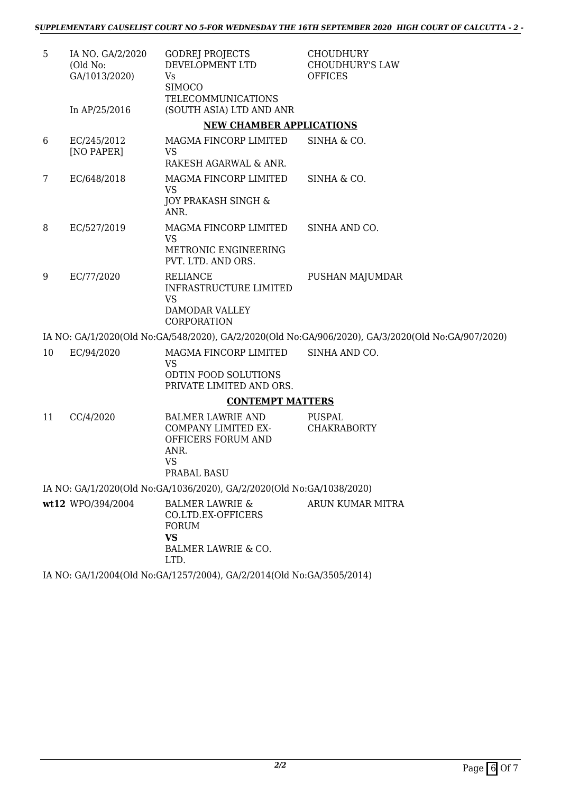| 5  | IA NO. GA/2/2020<br>(Old No:<br>GA/1013/2020) | <b>GODREJ PROJECTS</b><br>DEVELOPMENT LTD<br><b>Vs</b><br><b>SIMOCO</b>                                      | <b>CHOUDHURY</b><br><b>CHOUDHURY'S LAW</b><br><b>OFFICES</b>                                       |
|----|-----------------------------------------------|--------------------------------------------------------------------------------------------------------------|----------------------------------------------------------------------------------------------------|
|    | In AP/25/2016                                 | <b>TELECOMMUNICATIONS</b><br>(SOUTH ASIA) LTD AND ANR                                                        |                                                                                                    |
|    |                                               | <b>NEW CHAMBER APPLICATIONS</b>                                                                              |                                                                                                    |
| 6  | EC/245/2012<br>[NO PAPER]                     | MAGMA FINCORP LIMITED<br><b>VS</b><br>RAKESH AGARWAL & ANR.                                                  | SINHA & CO.                                                                                        |
| 7  | EC/648/2018                                   | MAGMA FINCORP LIMITED<br><b>VS</b><br>JOY PRAKASH SINGH &<br>ANR.                                            | SINHA & CO.                                                                                        |
| 8  | EC/527/2019                                   | MAGMA FINCORP LIMITED<br><b>VS</b><br>METRONIC ENGINEERING<br>PVT. LTD. AND ORS.                             | SINHA AND CO.                                                                                      |
| 9  | EC/77/2020                                    | <b>RELIANCE</b><br><b>INFRASTRUCTURE LIMITED</b><br><b>VS</b><br>DAMODAR VALLEY<br>CORPORATION               | PUSHAN MAJUMDAR                                                                                    |
|    |                                               |                                                                                                              | IA NO: GA/1/2020(Old No:GA/548/2020), GA/2/2020(Old No:GA/906/2020), GA/3/2020(Old No:GA/907/2020) |
| 10 | EC/94/2020                                    | MAGMA FINCORP LIMITED<br><b>VS</b><br>ODTIN FOOD SOLUTIONS<br>PRIVATE LIMITED AND ORS.                       | SINHA AND CO.                                                                                      |
|    |                                               | <b>CONTEMPT MATTERS</b>                                                                                      |                                                                                                    |
| 11 | CC/4/2020                                     | <b>BALMER LAWRIE AND</b>                                                                                     | <b>PUSPAL</b>                                                                                      |
|    |                                               | COMPANY LIMITED EX-<br>OFFICERS FORUM AND<br>ANR.<br><b>VS</b><br>PRABAL BASU                                | <b>CHAKRABORTY</b>                                                                                 |
|    |                                               | IA NO: GA/1/2020(Old No:GA/1036/2020), GA/2/2020(Old No:GA/1038/2020)                                        |                                                                                                    |
|    | wt12 WPO/394/2004                             | <b>BALMER LAWRIE &amp;</b><br>CO.LTD.EX-OFFICERS<br><b>FORUM</b><br><b>VS</b><br>BALMER LAWRIE & CO.<br>LTD. | ARUN KUMAR MITRA                                                                                   |
|    |                                               | IA NO: GA/1/2004(Old No:GA/1257/2004), GA/2/2014(Old No:GA/3505/2014)                                        |                                                                                                    |